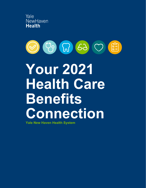



# **Your 2021 Health Care Benefits Connection**

**Yale New Haven Health System**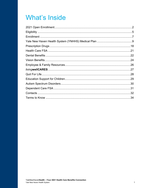## **What's Inside**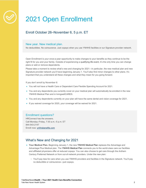

## 2021 Open Enrollment

#### Enroll October 26–November 6, 5 p.m. ET

#### New year. New medical plan.

No deductibles. No coinsurance. Just copays when you use YNHHS facilities or our Signature provider network.

Open Enrollment is your once-a-year opportunity to make changes to your benefits so they continue to be the right fit for you and your family. Outside of experiencing a qualifying life event, it's the only time you can change plans or add or remove dependents.

Please take a moment to review what's new and changing for 2021—in particular, the new medical plan and new Signature provider network you'll have beginning January 1. You'll also find minor changes to other plans. It's important that you understand all these changes and what they mean for you going forward.

If you don't enroll by November 6:

- You will not have a Health Care or Dependent Care Flexible Spending Account for 2021.
- You and any dependents you currently cover on your medical plan will automatically be enrolled in the new YNHHS Medical Plan and in livingwellCARES.
- You and any dependents currently on your plan will have the same dental and vision coverage for 2021.
- If you waived coverage for 2020, your coverage will be waived for 2021.

#### Enrollment questions?

HRConnect has the answers. Call Monday–Friday, 7:30 a.m.–5 p.m. ET 844-543-2147 Enroll now: ynhhsbenefits.com

#### What's New and Changing for 2021

- **Your Medical Plan.** Beginning January 1, the new YNHHS Medical Plan replaces the Advantage and Advantage Plus Medical plan. The YNHHS Medical Plan connects you to the world-class care our facilities and affiliated physicians offer at reduced copays. You can also choose to get care through the Anthem Century Preferred Network or from out-of-network providers. Under the new plan:
	- You'll pay less for care when you use YNHHS providers and facilities in the Signature network. You'll pay no deductible or coinsurance—just copays.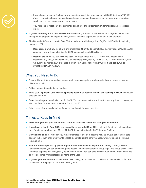

- If you choose to use an Anthem network provider, you'll first have to meet a \$3,500 (individual)/\$7,000 (family) deductible before the plan begins to share some of the costs. After you meet your deductible, you'll pay a copay or coinsurance for services.
- You will need to meet only one combined annual-out-of-pocket maximum for medical and prescription drugs.
- **If you're enrolling in the new YNHHS Medical Plan**, you'll also be enrolled in the *living***wellCARES** care management program. During enrollment, you will have the opportunity to opt out of this program.
- The Dependent Care and Health Care FSA administrator will change from PayFlex to HSA Bank beginning January 1, 2021.
	- **Dependent Care FSA:** You have until December 31, 2020, to submit 2020 claims through PayFlex. After January 1, you will submit claims for 2021 expenses through HSA Bank.
	- **Health Care FSA:** You can roll up to \$550 in unused funds into 2021. Incur 2020 expenses by December 31, 2020, and submit 2020 claims through PayFlex by March 31, 2021. After January 1, you will submit claims for 2021 expenses through HSA Bank. Your rollover funds, if applicable, will be available after April 1, 2021.

#### What You Need to Do

- Review this book for your medical, dental, and vision plan options, and consider how your needs may be different for 2021.
- Add or remove dependents, as needed.
- Make your Dependent Care Flexible Spending Account or Health Care Flexible Spending Account contribution elections for 2021.
- Enroll to make your benefit elections for 2021. You can return to the enrollment site at any time to change your elections from October 26 to November 6 at 5 p.m. ET.
- Print a copy of your enrollment confirmation and keep it for your records.

#### Things to Keep In Mind

- **Make sure you use your Dependent Care FSA funds by December 31 or you'll lose them**.
- **If you have a Health Care FSA, you can roll over up to \$550 for 2021,** but you'll forfeit any balance above that. Reminder: you have until March 31, 2021, to submit claims for 2020 through PayFlex.
- **Don't skimp on care.** Although you may be tempted to put off a doctor's visit, it's always better to get care sooner, rather than later. Use your telehealth benefit to get the care you need, when you need it—without leaving home.
- **Plan for the unexpected by providing additional financial security for your family.** Through YNHH voluntary benefits, you can purchase group hospital indemnity insurance, group legal, and group critical illness insurance at prices that are typically below market rates. You can also enroll in auto, home, or pet insurance, as well as identity theft protection any time of the year.
- **If you or your dependents have student loan debt,** you may want to consider the Common Bond Student Loan Refinancing program. It's a new offering for 2021.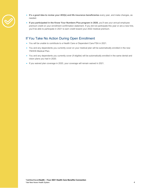- **It's a good idea to review your 403(b) and life insurance beneficiaries** every year, and make changes, as needed.
	- If you participated in the Know Your Numbers Plus program in 2020, you'll see your annual employee premium credit on your enrollment confirmation statement. If you did not participate this year or are a new hire, you'll be able to participate in 2021 to earn credit toward your 2022 medical premium.

#### If You Take No Action During Open Enrollment

- You will be unable to contribute to a Health Care or Dependent Care FSA in 2021.
- You and any dependents you currently cover on your medical plan will be automatically enrolled in the new YNHHS Medical Plan.
- You and any dependents you currently cover (if eligible) will be automatically enrolled in the same dental and vision plans you had in 2020.
- If you waived plan coverage in 2020, your coverage will remain waived in 2021.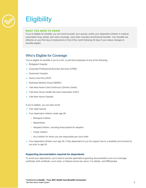

## **Eligibility**

#### **WHAT YOU NEED TO KNOW**

If you're eligible for benefits, you can enroll yourself, your spouse, and/or your dependent children in medical, prescription drug, dental, and vision coverage—plus other voluntary and financial benefits. Your benefits are effective on your first day of employment or first of the month following 30 days if your status changes to benefits-eligible.

#### Who's Eligible for Coverage

You're eligible for benefits if you're a full- or part-time employee of any of the following:

- Bridgeport Hospital
- Corporate Professional Business Services (CPBS)
- Greenwich Hospital
- Home Care Plus (HCP)
- Northeast Medical Group (NEMG)
- Yale New Haven Care Continuum (Grimes Center)
- Yale New Haven Health Services Corporation (HSC)
- Yale New Haven Hospital

If you're eligible, you can also enroll:

- Your legal spouse
- Your dependent children under age 26:
	- Biological children
	- Stepchildren
	- Adopted children, including those placed for adoption
	- Foster children
	- Any children for whom you are responsible per court order
- Your dependent children over age 26, if fully dependent on you for support due to a disability and covered by you prior to age 26

#### **Supporting documentation required for dependents**

To enroll your dependents, you'll need to provide applicable supporting documentation such as a marriage certificate, birth certificate, court order, or federal income tax return. For details, visit HRConnect.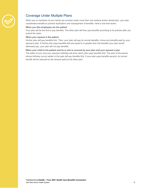

#### Coverage Under Multiple Plans

When you or members of your family are covered under more than one medical and/or dental plan, your plan coordinates benefits to prevent duplication and overpayment of benefits. Here's how that works:

#### **When you (the employee) are the patient**

Your plan will be the first to pay benefits. The other plan will then pay benefits according to its policies after you submit the claim.

#### **When your spouse is the patient**

His/her plan will pay benefits first. Then, your plan will pay its normal benefits, minus any benefits paid by your spouse's plan. If his/her plan pays benefits that are equal to or greater than the benefits your plan would otherwise pay, your plan will not pay benefits.

#### **When your child is the patient and he or she is covered by your plan and your spouse's plan**

The dates of your and your spouse's birthday will drive which plan pays benefits first. The plan of the person whose birthday occurs earlier in the year will pay benefits first. If your plan pays benefits second, its normal benefit will be reduced by the amount paid by the other plan.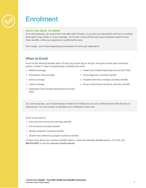

## **Enrollment**

#### **WHAT YOU NEED TO KNOW**

As a new employee, you must enroll in benefits within 30 days, or you and your dependents will have no medical, prescription drug, dental, or vision coverage. You'll have to wait until the next open enrollment period to elect these benefits, unless you experience a qualifying life event.

Don't forget—you'll need supporting documentation to enroll your dependents.

#### When to Enroll

Enroll for the following benefits within 30 days of your first day on the job, during the annual open enrollment period, or within 31 days of experiencing a qualifying life event:

- Medical coverage
- Prescription drug coverage
- Dental coverage
- Health Care Flexible Spending Account (HC FSA) • Group legal plan (voluntary benefit)
- Hospital indemnity coverage (voluntary benefit)

• Vision coverage

- Group critical illness insurance (voluntary benefit)
- Dependent Care Flexible Spending Account (DC FSA)

As a new employee, you're automatically enrolled in the 403(b) plan at a 2% contribution level after 60 days of employment. You can increase or decrease your contribution at any time.

Enroll at any time for:

- Auto and home insurance (voluntary benefit)
- Pet insurance (voluntary benefit)
- Identity protection (voluntary benefit)
- Student loan refinancing program (voluntary benefit)

To learn more about your voluntary benefits options, review the voluntary benefits options. To enroll, call **866-874-2837** or visit the voluntary benefits website.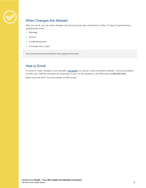

### When Changes Are Allowed

After you enroll, you can make changes only during annual open enrollment or within 31 days of experiencing a qualifying life event:

- Marriage
- Divorce
- Childbirth/adoption
- Coverage loss or gain

You must submit documentation that supports the event.

#### How to Enroll

To enroll or make changes to your benefits, visit bswift, our secure, online enrollment website. You'll be prompted to enter your YNHHS username and password. If you run into problems, call HRConnect at **844-543-2147**. Need more info first? You'll find details at HRConnect.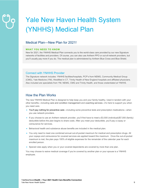# Yale New Haven Health System (YNHHS) Medical Plan

#### Medical Plan—New Plan for 2021!

#### **WHAT YOU NEED TO KNOW**

New for 2021, the YNHHS Medical Plan connects you to the world-class care provided by our new Signature networks of facilities and providers. Of course, you can also use Anthem PPO or out-of-network providers, but you'll usually pay more if you do. The medical plan is administered by Anthem Blue Cross and Blue Shield.

#### Connect with YNHHS Provider

The Signature network includes: YNHHS facilities/hospitals, PCP's from NEMG, Community Medical Group (CMG), Yale Medicine (YM), WestMed in CT, Trinity Health of New England hospitals and affiliated physicians. Also included are specialists from YM, NEMG, CMG and Trinity Health, and those credentialed at YNHHS.

#### How the Plan Works

The new YNHHS Medical Plan is designed to help keep you and your family healthy. Used in tandem with your other benefits—including care and condition management and coaching services—it's here to support you when you need care.

- You'll pay nothing for preventive care—including some preventive tests and prescription medications—when you use network providers.
- If you choose to use an Anthem network provider, you'll first have to meet a \$3,500 (individual)/\$7,000 (family) deductible before the plan begins to share costs. After you meet your deductible, you'll pay a copay or coinsurance for services.
- Behavioral health and substance abuse benefits are included in the medical plan.
- You only need to meet one combined annual out-of-pocket maximum for medical and prescription drugs. All your copays and coinsurance for covered services are applied toward this maximum. Once the out-of-pocket maximum is met, the plan pays 100% of eligible expenses for the remainder of the calendar year for each enrolled person.
- Special rules apply when you or your covered dependents are covered by more than one plan.

You may choose to waive medical coverage if you're covered by another plan or your spouse is a YNHHS employee.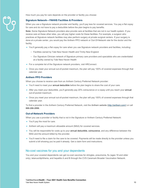How much you pay for care depends on the provider or facility you choose:

#### **Signature Network—YNHHS Facilities & Providers**

When you use a Signature network provider and facility, you'll pay less for covered services. You pay a flat copay for care and do not have to pay a deductible before the plan begins to pay benefits.

**Note:** Some Signature Network providers also provide care at facilities that are not in our health system. If you receive care at these other sites, you will pay higher costs for these facilities. For example, a surgeon who practices at Signature network facilities may also perform surgery at private surgical centers. If your surgery is done at a private center, you would pay the Anthem PPO network or Out-Of-Network rate for the doctor and the facility.

- You'll generally pay a flat copay for care when you use Signature network providers and facilities, including:
	- Facilities owned by Yale New Haven Health and Trinity New England
	- Our Signature Clinician network of Signature primary care providers and specialists who are credentialed at a facility owned by Yale New Haven Health
- For a complete list of the Signature network providers, visit HRConnect.
- Once you meet your annual out-of-pocket maximum, the plan will pay 100% of covered expenses through that calendar year.

#### **Anthem PPO Providers**

When you choose to receive care from an Anthem Century Preferred Network provider:

- You'll need to meet your annual deductible before the plan begins to share the cost of your care.
- After you meet your deductible, you'll generally pay 20% coinsurance or a copay until you reach your annual out-of-pocket maximum.
- Once you meet your annual out-of-pocket maximum, the plan will pay 100% of covered expenses through that calendar year.

To find a provider in the Anthem Century Preferred Network, visit the Anthem website (http://anthem.com/) or call **888-266-2896**.

#### **Out-of-Network Providers**

When you use a provider or facility that is not in the Signature or Anthem Century Preferred Network:

- You'll pay the most for care.
- Anthem will pay a maximum allowable amount (MAA) for covered services.
- You will be responsible for costs up to your annual deductible, coinsurance, and any difference between the MAA and the amount billed by the provider.
- You'll need to file a claim for the care to be covered. Payments will be made directly to the provider unless you submit a bill showing you've paid it already. Get a claim form and instructions.

#### No-cost vaccines for you and your dependents

You and your covered dependents can get no-cost vaccines for shingles, pneumonia, flu (ages 18 and older only), tetanus/diphtheria, and hepatitis A and B through the CVS Caremark Broader Vaccination Network.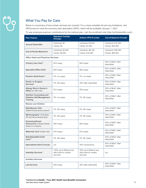## What You Pay for Care

Below is a summary of how certain services are covered. For a more complete list and any limitations, visit HRConnect to view the summary plan description (SPD), which will be available January 1, 2021.

To see employee premium contributions for the medical plan, visit the enrollment site (http://ynhhsbenefits.com/).

| <b>Plan Feature</b>                                                                   | <b>Signature Facility/</b><br><b>Provider</b>                  | <b>Anthem PPO Provider</b>                                    | <b>Out-of-Network Provider</b>           |
|---------------------------------------------------------------------------------------|----------------------------------------------------------------|---------------------------------------------------------------|------------------------------------------|
| <b>Annual Deductible</b>                                                              | Individual: \$0<br>Family: \$0                                 | Individual: \$3,500<br>Family: \$7,000                        | Individual: \$10,000<br>Family: \$20,000 |
| Out-of-Pocket Maximum <sup>1</sup>                                                    | Individual: \$3,000<br>Family: \$6,000                         | Individual: \$8,150<br>Family: \$16,300                       | Individual: \$30,000<br>Family: \$60,000 |
| <b>Office Visits and Physician Services</b>                                           |                                                                |                                                               |                                          |
| Primary Care Visit <sup>2,3</sup>                                                     | \$10 copay                                                     | \$30 copay                                                    | 50% of MAA* after<br>deductible          |
| Specialist Office Visit <sup>2</sup>                                                  | \$25 copay                                                     | \$50 copay                                                    | 50% of MAA* after<br>deductible          |
| Routine Adult Exam <sup>2,4</sup>                                                     | 0%, no copay                                                   | 0%, no copay                                                  | 50% of MAA* after<br>deductible          |
| Doctor or Surgeon<br>Services <sup>5</sup>                                            | 0%, \$0 copay                                                  | 20% after deductible                                          | 50% of MAA* after<br>deductible          |
| <b>Allergy Shot in Doctor's</b><br>Office (no MD visit)                               | \$10 copay                                                     | \$30 copay                                                    | 50% of MAA* after<br>deductible          |
| <b>Nutrition Counseling and</b><br><b>Diabetes Self-Management</b><br><b>Training</b> | 0%, no copay                                                   | 0%, \$0 copay                                                 | 50% of MAA* after<br>deductible          |
| <b>Women and Children</b>                                                             |                                                                |                                                               |                                          |
| <b>Well-Woman Visit</b><br>(OB/GYN preventive exam) <sup>6</sup>                      | 0%, \$0 copay                                                  | 0%, \$0 copay                                                 | 50% of MAA* after<br>deductible          |
| <b>Mammography<sup>7</sup></b> (including<br>3D and bone density test)                | 0%, \$0 copay                                                  | 0%, \$0 copay                                                 | 50% of MAA* after<br>deductible          |
| <b>Screening Breast</b><br><b>Ultrasound</b> (if dense breast<br>tissue or a history) | \$20 copay                                                     | \$20 copay                                                    | 50% of MAA* after<br>deductible          |
| Maternity Care <sup>8</sup> (initial visit)                                           | \$10 copay                                                     | \$10 copay                                                    | 50% of MAA* after<br>deductible          |
| Well-Baby/Well-Child<br>Care <sup>2,9</sup>                                           | 0%, \$0 copay                                                  | 0%, \$0 copay                                                 | 50% of MAA* after<br>deductible          |
| <b>Specialized Infant Formula</b>                                                     | n/a                                                            | 50% coinsurance                                               | 50% of MAA* after<br>deductible          |
| Infertility Services <sup>10</sup>                                                    | 100% up to lifetime max<br>with limits for certain<br>services | 50% up to lifetime max<br>with limits for certain<br>services | n/a                                      |
| <b>Ancillary Services</b>                                                             |                                                                |                                                               |                                          |
| <b>Lab Services</b>                                                                   | $$25$ copay                                                    | 20% after deductible                                          | 50% of MAA* after<br>deductible          |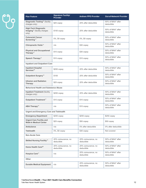# $P^9$

| <b>Plan Feature</b>                                                             | <b>Signature Facility/</b><br><b>Provider</b> | <b>Anthem PPO Provider</b>        | <b>Out-of-Network Provider</b>  |
|---------------------------------------------------------------------------------|-----------------------------------------------|-----------------------------------|---------------------------------|
| Diagnostic Testing <sup>11</sup> (facility<br>charges only)                     | \$25 copay                                    | 20% after deductible              | 50% of MAA* after<br>deductible |
| <b>High-Tech Diagnostic</b><br>Imaging <sup>12</sup> (facility charges<br>only) | \$100 copay                                   | 20% after deductible              | 50% of MAA* after<br>deductible |
| <b>Colorectal Cancer</b><br>Screening <sup>13</sup>                             | 0%, \$0 copay                                 | 0%, \$0 copay                     | 50% of MAA* after<br>deductible |
| Chiropractic Visits <sup>14</sup>                                               | n/a                                           | \$30 copay                        | 50% of MAA* after<br>deductible |
| <b>Physical and Occupational</b><br>Therapy <sup>14</sup>                       | \$10 copay                                    | \$30 copay                        | 50% of MAA* after<br>deductible |
| Speech Therapy <sup>14</sup>                                                    | \$10 copay                                    | \$10 copay                        | 50% of MAA* after<br>deductible |
| <b>Inpatient and Outpatient Care</b>                                            |                                               |                                   |                                 |
| <b>Inpatient Hospital</b><br>Services <sup>15</sup>                             | $$250$ copay                                  | 20% after deductible              | 50% of MAA* after<br>deductible |
| Outpatient Surgery <sup>16</sup>                                                | \$100                                         | 20% after deductible              | 50% of MAA* after<br>deductible |
| <b>Infusion and Radiation</b><br>Therapy                                        | \$25 copay                                    | 20% after deductible              | 50% of MAA* after<br>deductible |
| <b>Behavioral Health and Substance Abuse</b>                                    |                                               |                                   |                                 |
| <b>Inpatient Treatment (facility</b><br>charges only)                           | $$250$ copay                                  | 20% after deductible              | 50% of MAA* after<br>deductible |
| Outpatient Treatment <sup>17</sup>                                              | \$10 copay                                    | \$10 copay                        | 50% of MAA* after<br>deductible |
| ABA Therapy <sup>18</sup>                                                       | n/a                                           | \$10 copay                        | 50% of MAA* after<br>deductible |
| <b>Urgent and Emergency Care and Telehealth</b>                                 |                                               |                                   |                                 |
| <b>Emergency Department</b>                                                     | \$250 copay                                   | \$250 copay                       | \$250 copay                     |
| <b>Urgent Care Facility and</b><br><b>Walk-In Medical Center</b>                | \$25 copay                                    | \$50 copay                        | \$50 copay                      |
| Ambulance                                                                       | n/a                                           | 0% after deductible               | 0% after deductible             |
| <b>Telehealth</b>                                                               | $0\%$ , \$0 copay                             | \$30 copay                        | Not covered                     |
| <b>Non-Acute Care</b>                                                           |                                               |                                   |                                 |
| Skilled Nursing Facility <sup>19</sup>                                          | 20% coinsurance, no<br>deductible             | 20% coinsurance, no<br>deductible | 50% of MAA* after<br>deductible |
| Home Health Care <sup>20</sup>                                                  | 20% coinsurance, no<br>deductible             | 20% coinsurance, no<br>deductible | 50% of MAA* after<br>deductible |
| Hospice Care <sup>21</sup>                                                      | n/a                                           | 20% coinsurance, no<br>deductible | 50% of MAA* after<br>deductible |
| Other                                                                           |                                               |                                   |                                 |
| <b>Durable Medical Equipment</b>                                                | n/a                                           | 20% coinsurance, no<br>deductible | 50% of MAA* after<br>deductible |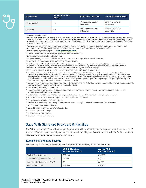| <b>Plan Feature</b>        | <b>Signature Facility/</b><br><b>Provider</b> | <b>Anthem PPO Provider</b>        | <b>Out-of-Network Provider</b>  |
|----------------------------|-----------------------------------------------|-----------------------------------|---------------------------------|
| Hearing Aids <sup>22</sup> | n/a                                           | 50% coinsurance, no<br>deductible | 50% of MAA* after<br>deductible |
| <b>Orthotics</b>           | n/a                                           | 50% coinsurance, no<br>deductible | 50% of MAA* after<br>deductible |

\* Maximum allowable amount.

- 1 Amounts paid toward care provided by all in-network providers accumulate toward both the YNHHS and Anthem PPO out-of-pocket maximums. However, when the YNHHS in-network out-of-pocket maximum has been reached, amounts paid for YNHHS in-network care no longer accrue toward the Anthem PPO out-of-pocket maximum. Amounts paid for Anthem PPO in-network care continue to accrue until the Anthem PPO outof-pocket maximum is met.
- $2$  Tests (e.g., some lab work) that are associated with office visits may be subject to a copay or deductible and coinsurance if they are not mandated by the ACA. Check with your provider or call Anthem to determine if a specific test is covered at 100%.
- <sup>3</sup> A list of Signature providers is posted to: http://ynhhs.org/hrconnect
- 4 One exam every calendar year starting at age 22 (includes immunizations).
- <sup>5</sup> Other than office visit; includes maternity claims.
- $6$  One per calendar year. All other OB/GYN office visits are covered at the specialist office visit benefit level.
- <sup>7</sup> Screening mammography only. Does not include breast ultrasounds
- <sup>8</sup> Prenatal care and delivery. Well visits to the obstetric provider are billed with one global fee that includes trimester visits, delivery, and postpartum care. Any maternity-related tests that are needed, such as blood work, glucose tolerance tests, stress tests, ultrasounds, or amniocentesis, are billed separately. Inpatient hospital and doctor or surgeon services also apply.
- <sup>9</sup> Seven exams from birth to age 1 year; seven exams from ages 1 to 5; one exam from ages 6 to 21.
- <sup>10</sup> The plan covers in-network fertility services only through YNHHS and Anthem PPO providers. YNHHS providers: Yale Reproductive Endocrinology and Infertility (REI) Center and YNHHS Outpatient Pharmacy Services. 100% up to lifetime max of \$14,000 for medical and freezing and transferring embryos, and 100% up to lifetime maximum of \$2,000 for prescription drugs through the pharmacy benefit. Anthem PPO providers: 50% of covered medical services at a participating Anthem provider, plus covered prescription drugs at a participating CVS Caremark pharmacy, up to a combined lifetime maximum of \$10,000.
- 11 Includes x-rays, echo stress tests, ultrasounds, diagnostic mammograms, and EKGs. Patients will receive a bill for the reading of the diagnostic testing and imaging (covered under "Doctor or Surgeon Services").
- 12 PET, SPECT, MRI, MRA, CTA, and CAT.
- <sup>13</sup> Diagnostic colonoscopies covered under the outpatient surgery benefit level. Includes fecal occult blood test, barium enema, flexible sigmoidoscopy, and screening colonoscopy.
- <sup>14</sup> Chiropractic, physical therapy, occupational therapy, and speech therapy combined maximum: 50 visits per calendar year.
- $15$  Room and board, lab work, medical supplies, and other hospital ancillary services.
- <sup>16</sup> Hospital or surgical center facility charges only.
- $17$  The Employee and Family Resources (EFR) program provides up to six (6) confidential counseling sessions at no cost.
- 18 Applied behavioral analysis, up to age 21.
- $19$  Up to 120 days per calendar year after a hospital stay.
- <sup>20</sup> Up to 120 days per calendar year.
- <sup>21</sup> Up to 60 days per calendar year.
- <sup>22</sup> Two hearing aids every 36 months.

#### Save With Signature Providers & Facilities

The following examples\* show how using a Signature provider and facility can save you money. As a reminder, if you use a Signature provider but your care takes place in a facility that is not in our network, the facility expenses will be covered as Anthem or out-of-network care.

#### **Example #1: Signature Savings**

Tony saves \$7,150 using a Signature provider and Signature facility for his knee surgery.

|                                  | <b>YNHHS Signature</b><br><b>Provider and Facility</b> | <b>Anthem PPO</b><br><b>Provider &amp; Facility</b> |
|----------------------------------|--------------------------------------------------------|-----------------------------------------------------|
| <b>Facility Charge Allowed</b>   | \$20,000                                               | \$20,000                                            |
| Doctor or Surgeon Fees Allowed   | \$3,000                                                | \$3,000                                             |
| Annual deductible (paid by Tony) | \$0                                                    | \$3.500                                             |
| Amount Left to Pay               | \$23,000                                               | \$19,500                                            |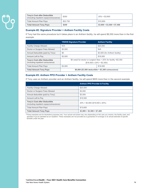

| Tony's Cost after Deductible<br>(including inpatient copay/coinsurance) | \$250    | $20\% = $3.900$            |
|-------------------------------------------------------------------------|----------|----------------------------|
| <b>Total Amount Plan Pays</b>                                           | \$22.750 | \$15,600                   |
| <b>Total Amount Tony Pays</b>                                           | \$250    | $$3,900 + $3,500 = $7,400$ |

#### **Example #2: Signature Provider + Anthem Facility Costs**

If Tony had the same procedure but it takes place in an Anthem facility, he will spend \$6,550 more than in the first example.

|                                                                          | <b>YNHHS Signature Provider</b>                                                                       | <b>Anthem Facility</b>        |
|--------------------------------------------------------------------------|-------------------------------------------------------------------------------------------------------|-------------------------------|
| <b>Facility Charge Allowed</b>                                           | N/A                                                                                                   | \$20,000                      |
| Doctor or Surgeon Fees Allowed                                           | \$3,000                                                                                               | N/A                           |
| Annual Deductible (paid by Tony)                                         | \$0                                                                                                   | \$3,500 (for Anthem facility) |
| Amount Left to Pay                                                       | \$3,000                                                                                               | \$16,500                      |
| <b>Tony's Cost after Deductible</b><br>(including inpatient coinsurance) | \$0 owed for doctor or surgeon fees $+20\%$ for facility =\$3,300<br>$($16,500 \times 20\% = $3,300)$ |                               |
| <b>Total Amount Plan Pays</b>                                            | \$3,000                                                                                               | \$16,500                      |
| <b>Total Amount Tony Pays</b>                                            | \$6,800 (\$3,500 deductible + \$3,300 coinsurance)                                                    |                               |

#### **Example #3: Anthem PPO Provider + Anthem Facility Costs**

If Tony uses an Anthem provider and an Anthem facility, he will spend \$600 more than in the second example.

|                                                                                | <b>Anthem PPO Provider &amp; Facility</b> |
|--------------------------------------------------------------------------------|-------------------------------------------|
| <b>Facility Charge Allowed</b>                                                 | \$20,000                                  |
| Doctor or Surgeon Fees Allowed                                                 | \$3,000                                   |
| Annual deductible (paid by Tony)                                               | \$3,500                                   |
| Amount Left to Pay                                                             | \$19,500                                  |
| <b>Tony's Cost after Deductible</b><br>(including inpatient copay/coinsurance) | $20\% = $3,900$ (\$19,500 x 20%)          |
| <b>Total Amount Plan Pays</b>                                                  | \$15,600                                  |
| <b>Total Amount Tony Pays</b>                                                  | $$3,900 + $3,500 = $7,400$                |

\*These examples are for illustrative purposes only. Your actual cost share may vary depending on the care you receive, the facility used, and specifics if you're admitted as an inpatient. These examples are not provided as a guarantee of coverage or an actual estimate of specific benefits under the plan.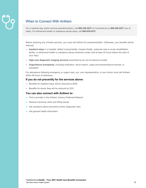### When to Connect With Anthem

For a medical stay and/or service preauthorization, call **800-238-2227** (in Connecticut) or **800-248-2227** (out of state). For behavioral health or substance abuse stays, call **800-934-0331**.

Before receiving any of these services, you must call Anthem for preauthorization. Otherwise, your benefits will be reduced.

- **Inpatient stays** in a hospital, skilled nursing facility, hospice facility, subacute care or acute rehabilitation facility, or behavioral health or substance abuse treatment center (call at least 24 hours before the start of your stay)
- **High-cost diagnostic imaging services** prescribed by an out-of-network provider
- **Organ/tissue transplants,** including evaluation, donor search, organ procurement/tissue harvest, or transplant

For admissions following emergency or urgent care, you, your representative, or your doctor must call Anthem within 48 hours of admission.

#### **If you do not precertify for the services above:**

- Benefits for inpatient stays will be reduced by \$200.
- Benefits for doctor fees will be reduced by 25%.

#### **You can also connect with Anthem to:**

- Find a provider in the Anthem Century Preferred Network
- Resolve insurance claim and billing issues
- Ask questions about preventive and/or diagnostic care
- Get general health information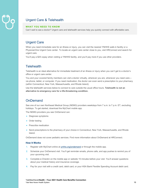## Urgent Care & Telehealth

#### **WHAT YOU NEED TO KNOW**

Can't wait to see a doctor? Urgent care and telehealth services help you quickly connect with affordable care.

#### Urgent Care

When you need immediate care for an illness or injury, you can visit the nearest YNHHS walk-in facility or a PhysicianOne Urgent Care center. To locate an urgent care center close to you, visit HRConnect and search for urgent care.

You'll pay a \$25 copay when visiting a YNHHS facility, and you'll pay more if you use other providers.

#### **Telehealth**

Telehealth is an ideal alternative for immediate treatment of an illness or injury when you can't get to a doctor's office or urgent care center.

You and your covered family members can visit a doctor virtually, wherever you are, whenever you need care via phone, tablet, or computer. If you need medication, the doctor can even send a prescription to your pharmacy (within Connecticut, New York, Massachusetts, and Rhode Island).

Use the telehealth services below to connect to care outside the usual office hours. **Telehealth is not an alternative to emergency care for a life-threatening condition.**

#### **OnDemand**

See one of our own Northeast Medical Group (NEMG) providers weekdays from 7 a.m. to 7 p.m. ET, excluding holidays. To get started, download the MyChart mobile app.

The NEMG providers you see OnDemand can:

- Diagnose symptoms
- Order testing
- Prescribe medication
- Send prescriptions to the pharmacy of your choice in Connecticut, New York, Massachusetts, and Rhode Island.

OnDemand does not cover pediatric services. Find more information about OnDemand at HRConnect.

#### **How It Works**

- 1. Register with MyChart online at ynhhs.org/ondemand or through the mobile app.
- 2. Schedule your OnDemand visit. You'll get reminder emails, phone calls, and app pushes to remind you of your upcoming visit.
- 3. Complete e-Checkin on the mobile app or website 15 minutes before your visit. You'll answer questions about your medical history and insurance coverage.
- 4. Pay for your visit with a credit card, debit card, or your HSA Bank Flexible Spending Account debit card.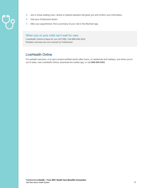- 
- 5. Join a virtual waiting room, where a medical assistant will greet you and confirm your information.
- 6. Visit your OnDemand doctor.
- 7. After your appointment, find a summary of your visit in the MyChart app.

#### When you or your child can't wait for care

LiveHealth Online is there for you 24/7/365. Call 888-548-3432. Pediatric services are not covered by OnDemand.

#### LiveHealth Online

For pediatric services, or to see a board-certified doctor after hours, on weekends and holidays, and when you're out of state, visit LiveHealth Online, download the mobile app, or call **888-548-3432**.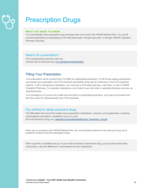## Prescription Drugs

#### **WHAT YOU NEED TO KNOW**

You automatically have prescription drug coverage when you enroll in the YNHHS Medical Plan. You can fill covered prescriptions at participating CVS retail pharmacies, through mail order, or through YNHHS Outpatient Pharmacy Services.

#### Need to fill a prescription?

Find a participating pharmacy near you. Connect with a local pharmacy cvs.com/store-locator/landing

#### Filling Your Prescription

Your prescription will be covered only if it's filled at a participating pharmacy. To fill 30-day supply prescriptions, just present your prescription and CVS Caremark prescription drug card at a pharmacy in the CVS Caremark network. To fill a maintenance medication, you must use a CVS retail pharmacy, mail order, or visit a YNHHS Outpatient Pharmacy. For specialty medications, you'll need to use mail order or specialty pharmacy services, as described below.

In an emergency or if you're out of state and can't get to a participating pharmacy, you'll pay out of pocket and then file a claim for reimbursement from CVS Caremark.

#### Pay nothing for certain preventive drugs

The Affordable Care Act (ACA) makes many prescription medications, vaccines, and supplements—including contraceptives and statins—available to you at no cost. No-Cost Preventive Drug List: caremark.com/portal/asset/NoCost\_Preventive\_List.pdf

When you're covered by the YNHHS Medical Plan, the out-of-pocket maximum is the most you'll pay out of pocket for medical care and prescription drugs.

When a generic is available and you or your doctor chooses a brand-name drug, you'll pay the brand-name coinsurance—plus the difference in cost between the two medications.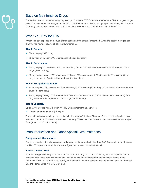

#### Save on Maintenance Drugs

For medications you take on an ongoing basis, you'll use the CVS Caremark Maintenance Choice program to get refills at a lower copay for a larger supply. With CVS Maintenance Choice, you get up to two 30-day fills at a retail pharmacy before you'll need to use CVS Caremark mail service or a CVS Pharmacy for 90-day fills.

#### What You Pay for Fills

What you'll pay depends on the type of medication and the amount prescribed. When the cost of a drug is less than the minimum copay, you'll pay the lower amount.

#### **Tier 1: Generic**

- 30-day supply: \$10 copay
- 90-day supply through CVS Maintenance Choice: \$20 copay

#### **Tier 2: Brand name**

- 30-day supply: 20% coinsurance (\$35 minimum, \$80 maximum) if the drug is on the list of preferred brand drugs (the formulary)
- 90-day supply through CVS Maintenance Choice: 20% coinsurance (\$70 minimum, \$150 maximum) if the drug is on the list of preferred brand drugs (the formulary)

#### **Tier 3: Non-preferred brand**

- 30-day supply: 40% coinsurance (\$55 minimum, \$120 maximum) if the drug isn't on the list of preferred brand drugs (the formulary)
- 90-day supply through CVS Maintenance Choice: 40% coinsurance (\$110 minimum, \$230 maximum) if the drug isn't on the list of preferred brand drugs (the formulary)

#### **Tier 4: Specialty**

Up to a 30-day supply only through YNHHS Outpatient Pharmacy Services.

• Generic and brand name: \$20 copay

For certain high-cost specialty drugs not available through Outpatient Pharmacy Services or the Apothecary & Wellness Center, you'll use CVS Specialty Pharmacy. These medications are subject to 40% coinsurance (up to \$150 generic, \$200 brand name).

#### Preauthorization and Other Special Circumstances

#### **Compounded Medications**

Some prescriptions, including compounded drugs, require preauthorization from CVS Caremark before they can be filled. Your pharmacist will let you know if your doctor needs to make that call.

#### **Breast Cancer Drugs**

If you're taking raloxifene (brand name: Evista) or tamoxifen (brand name: Noladex) for primary prevention of breast cancer, these generics may be available at no cost to you through the preventive provisions of the Affordable Care Act. To learn if you qualify, your doctor will need to complete the Preventive Services Zero Cost Sharing Form and fax it to CVS Caremark.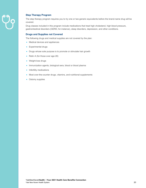

#### **Step Therapy Program**

The step therapy program requires you to try one or two generic equivalents before the brand-name drug will be covered.

Drug classes included in this program include medications that treat high cholesterol, high blood pressure, gastrointestinal disorders (GERD, for instance), sleep disorders, depression, and other conditions.

#### **Drugs and Supplies not Covered**

The following drugs and medical supplies are not covered by the plan:

- Medical devices and appliances
- Experimental drugs
- Drugs whose sole purpose is to promote or stimulate hair growth
- Retin A (for those over age 28)
- Weight-loss drugs
- Immunization agents, biological sera, blood or blood plasma
- Infertility medications
- Most over-the-counter drugs, vitamins, and nutritional supplements
- Ostomy supplies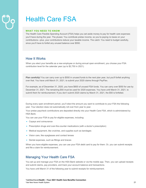## Health Care FSA

#### **WHAT YOU NEED TO KNOW**

The Health Care Flexible Spending Account (FSA) helps you set aside money to pay for health care expenses you'll have during the year. The pluses: You contribute pretax income, so you're paying no taxes on your contributions—plus, your contributions reduce your taxable income. The catch: You need to budget carefully, since you'll have to forfeit any unused balance over \$550.

#### How It Works

When you elect your benefits as a new employee or during annual open enrollment, you choose your FSA contribution level for the calendar year (up to \$2,750 in 2021).

**Plan carefully!** You can carry over up to \$550 in unused funds to the next plan year, but you'll forfeit anything over that. You have until March 31, 2021, to submit your 2020 claims through PayFlex.

For example, as of December 31, 2020, you have \$600 of unused FSA funds. You can carry over \$550 for use by December 31, 2021. The remaining \$50 must be used for 2020 expenses. You have until March 31, 2021, to submit them for reimbursement. If you don't submit 2020 claims by March 31, 2021, the \$50 is forfeited.

During every open enrollment period, you'll elect the amount you want to contribute to your FSA the following year. Your election does not automatically roll over from year to year.

Your pretax paycheck contributions are deposited directly into your Health Care FSA, which is administered by HSA Bank.

You can use your FSA to pay for eligible expenses, including:

- Copays and coinsurance
- Prescription drugs and over-the-counter medications (with a doctor's prescription)
- Medical equipment, like crutches, and supplies such as bandages
- Vision care, like eyeglasses and contact lenses
- Dental expenses, such as fillings and braces

When you have eligible expenses, you can use your FSA debit card to pay for them. Or, you can submit receipts and file a claim for reimbursement.

#### Managing Your Health Care FSA

You set up and manage your FSA on the HSA Bank website or via the mobile app. Then, you can upload receipts and submit claims, pay providers, and track your account balance and transactions.

You have until March 31 of the following year to submit receipts for reimbursement.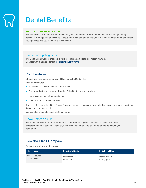## Dental Benefits

#### **WHAT YOU NEED TO KNOW**

You can choose from two plans that cover all your dental needs, from routine exams and cleanings to major services like bridgework and crowns. Although you may see any dentist you like, when you visit a network dentist, you'll pay less and you won't have to file a claim.

#### Find a participating dentist

The Delta Dental website makes it simple to locate a participating dentist in your area. Connect with a network dentist: deltadentalct.com/ynhhs

#### Plan Features

Choose from two plans: Delta Dental Basic or Delta Dental Plus

Both plans feature:

- A nationwide network of Delta Dental dentists
- Discounted rates for using participating Delta Dental network dentists
- Preventive services at no cost to you
- Coverage for restorative services

The key difference is that Delta Dental Plus covers more services and pays a higher annual maximum benefit, so it costs more per paycheck.

You can also choose to waive dental coverage.

#### Know Before You Go

Before you sit down for a procedure that will cost more than \$300, contact Delta Dental to request a predetermination of benefits. That way, you'll know how much the plan will cover and how much you'll need to pay.

#### How the Plans Compare

Amounts shown are what you pay.

| <b>Plan Feature</b>      | <b>Delta Dental Basic</b> | <b>Delta Dental Plus</b> |
|--------------------------|---------------------------|--------------------------|
| <b>Annual Deductible</b> | Individual: \$50          | Individual: \$50         |
| (What you pay)           | <b>Family: \$100</b>      | <b>Family: \$100</b>     |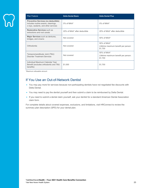

| <b>Plan Feature</b>                                                                                                      | <b>Delta Dental Basic</b>    | <b>Delta Dental Plus</b>                                          |
|--------------------------------------------------------------------------------------------------------------------------|------------------------------|-------------------------------------------------------------------|
| <b>Preventive Services (no deductible)</b><br>includes routine exams, cleanings,<br>x-rays, sealants, and other services | $0\%$ of MAA*                | $0\%$ of MAA*                                                     |
| <b>Restorative Services such as</b><br>extractions and root canals                                                       | 20% of MAA* after deductible | 20% of MAA* after deductible                                      |
| Major Services such as dentures,<br>bridges, and crowns                                                                  | Not covered                  | $50\%$ of MAA*                                                    |
| Orthodontia                                                                                                              | Not covered                  | 50% of MAA*<br>Lifetime maximum benefit per person:<br>\$1,700    |
| Temporomandibular Joint (TMJ)<br><b>Disorder Treatment Services</b>                                                      | Not covered                  | $50\%$ of MAA*<br>Lifetime maximum benefit per person:<br>\$1,700 |
| Individual Maximum Calendar Year<br>Benefit (excludes orthodontic and TMJ<br>benefits)                                   | \$1,000                      | \$1,700                                                           |

\*Maximum allowable amount.

#### If You Use an Out-of-Network Dentist

- You may pay more for services because non-participating dentists have not negotiated fee discounts with Delta Dental.
- You may need to pay the dentist yourself and then submit a claim to be reimbursed by Delta Dental.
- If you need to submit a dental claim yourself, ask your dentist for a standard American Dental Association claim form.

For complete details about covered expenses, exclusions, and limitations, visit HRConnect to review the summary plan description (SPD) for your dental plan.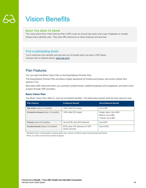## Vision Benefits

#### **WHAT YOU NEED TO KNOW**

The vision plans from Vision Service Plan (VSP) cover an annual eye exam and a pair of glasses or contact lenses every calendar year. They also offer discounts on other products and services.

#### Find a participating doctor

You'll maximize your benefits and pay less out of pocket when you see a VSP doctor. Connect with a network doctor: www.vsp.com/

#### Plan Features

You can elect the Basic Vision Plan or the EasyOptions Premier Plan.

The EasyOptions Premier Plan provides a higher allowance for frames and lenses, and covers certain lens options in full.

Both plans offer discounts when you purchase contact lenses, additional glasses and sunglasses, and laser vision surgery through VSP providers.

#### **Basic Vision Plan**

The Basic Vision Plan offers in- and out-of-network benefits. The table below shows what the plan pays for care.

| <b>Plan Feature</b>                                  | <b>In-Network Benefit</b>                          | <b>Out-of-Network Benefit</b>                                            |
|------------------------------------------------------|----------------------------------------------------|--------------------------------------------------------------------------|
| Eye exam (every 12 months)                           | 100% after \$15 copay                              | Up to $$45$                                                              |
| <b>Corrective lenses</b> (every 12 months)           | 100% after \$15 copay <sup>1</sup>                 | Single vision: Up to \$45<br>Bifocal: Up to \$65<br>Trifocal: Up to \$85 |
| <b>Frames</b> (every 24 months)                      | Up to \$155, plus 20% discount                     | Up to \$47                                                               |
| <b>Contact lenses</b> (every 12 months) <sup>2</sup> | \$155, plus 15% discount on VSP<br>doctor services | Up to \$105                                                              |

1 Standard lenses, including glass or plastic single vision, bifocal, or trifocal; copay includes lenses and frames.

2 When you select contact lenses instead of glasses.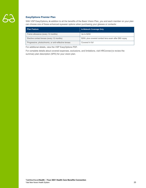

#### **EasyOptions Premier Plan**

With VSP EasyOptions, in addition to all the benefits of the Basic Vision Plan, you and each member on your plan can choose one of these enhanced eyewear options when purchasing your glasses or contacts:

| <b>Plan Feature</b>                                  | <b>In-Network Coverage Only</b>                        |
|------------------------------------------------------|--------------------------------------------------------|
| Frame allowance (every 12 months)                    | Up to \$250                                            |
| Elective contact lenses (every 12 months)            | \$200, plus covered contact lens exam after \$60 copay |
| Progressive, photochromic, or anti-reflective lenses | Covered in full                                        |

For additional details, view the VSP EasyOptions PDF.

For complete details about covered expenses, exclusions, and limitations, visit HRConnect to review the summary plan description (SPD) for your vision plan.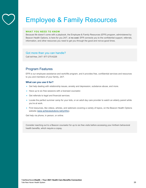## Employee & Family Resources

#### **WHAT YOU NEED TO KNOW**

Because life doesn't come with a playbook, the Employee & Family Resources (EFR) program, administered by Beacon Health Options, is here for you 24/7, at **no cost**. EFR connects you to the confidential support, referrals, information, and other resources you need to get you through the good and not-so-good times.

#### Got more than you can handle?

Call toll-free, 24/7: 877-275-6226

#### Program Features

EFR is our employee assistance and work/life program, and it provides free, confidential services and resources to you and members of your family, 24/7.

#### **What can you use it for?**

- Get help dealing with relationship issues, anxiety and depression, substance abuse, and more.
- Have up to six free sessions with a licensed counselor.
- Get referrals to legal and financial services.
- Locate the perfect summer camp for your kids, or an adult day care provider to watch an elderly parent while you're at work.
- Find resources, like videos, articles, and webinars covering a variety of topics, on the Beacon Health Options website (www.achievesolutions.net/ynhhs).

Get help via phone, in person, or online.

Consider reaching out to a Beacon counselor for up to six free visits before accessing your Anthem behavioral health benefits, which require a copay.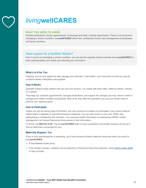

## *living***wellCARES**

#### **WHAT YOU NEED TO KNOW**

Multiple medications. Doctor appointments. Screenings and tests. Lifestyle adjustments. There's a lot involved in managing a chronic condition. *living***wellCARES** offers free, confidential chronic care management to employees and family members.

#### Need support for a healthier lifestyle?

Even if you're not managing a chronic condition, you can tap the specially trained coaches at *living***wellCARES** for help creating healthy new habits and reducing your risk factors.

#### **What's in It for You**

Ongoing, one-on-one support to help manage your care plan. Even better—you may save on what you pay for condition-related medication and supplies.

#### **How It Works**

Specially trained nurses partner with you and your doctors. You speak with them often, either by phone, virtually, or in person.

They help you schedule appointments, manage medications, and support the changes you may need to make to manage your health condition successfully. Best of all, they offer the inspiration you and your family need to achieve your wellness goals.

#### **How to Participate**

Unless you opt out during Open Enrollment, you may receive an invitation to participate if your recent medical claims reflect a diabetes or high blood pressure diagnosis. You can also enroll on your own. Either way, participating is confidential and voluntary. Your personal health information is protected by HIPAA; neither management nor Human Resources have access to that information.

To enroll, call **888-533-3742**. The *living***wellCARES** team of care coordinators and health coaches will set up a time to meet that's convenient for you.

#### **Maternity Support, Too**

If you or your spouse/partner is expecting, you'll have access to these maternity resources when you enroll in *living***wellCARES**:

- A free Medela breast pump
- Free nutrition classes—whether you're expecting or thinking of becoming pregnant, simply send a quick email to sign up today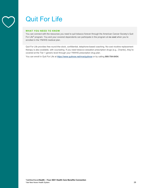## Quit For Life

#### **WHAT YOU NEED TO KNOW**

You can connect with the resources you need to quit tobacco forever through the American Cancer Society's Quit For Life® program. You and your covered dependents can participate in the program at **no cost** when you're enrolled in the YNHHS medical plan.

Quit For Life provides free round-the-clock, confidential, telephone-based coaching. No-cost nicotine replacement therapy is also available, with counseling. If you need tobacco-cessation prescription drugs (e.g., Chantix), they're covered at the Tier 1 generic level through your YNHHS prescription drug plan.

You can enroll in Quit For Life at https://www.quitnow.net/mve/quitnow or by calling **866-784-8454**.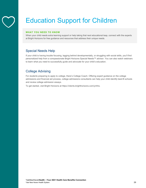

# Education Support for Children

#### **WHAT YOU NEED TO KNOW**

When your child needs extra learning support or help taking that next educational leap, connect with the experts at Bright Horizons for free guidance and resources that address their unique needs.

#### Special Needs Help

If your child is having trouble focusing, lagging behind developmentally, or struggling with social skills, you'll find personalized help from a compassionate Bright Horizons Special Needs™ advisor. You can also watch webinars to learn what you need to successfully guide and advocate for your child's education.

#### College Advising

For students preparing to apply to college, there's College Coach. Offering expert guidance on the college admissions and financial aid process, college admissions consultants can help your child identify best-fit schools and review college admission essays.

To get started, visit Bright Horizons at https://clients.brighthorizons.com/ynhhs.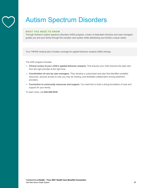## Autism Spectrum Disorders

#### **WHAT YOU NEED TO KNOW**

Through Anthem's autism spectrum disorders (ASD) program, a team of dedicated clinicians and case managers guides you and your family through the complex care system while addressing your family's unique needs.

Your YNHHS medical plan includes coverage for applied behavior analysis (ABA) therapy.

The ASD program includes:

- **Clinical review of your child's applied behavior analysis.** This ensures your child receives the right care from the right provider at the right time.
- **Coordination of care by case managers.** They develop a customized care plan that identifies available resources, secures access to care you may be missing, and facilitates collaboration among treatment providers.
- **Connection to community resources and support.** You need this to build a strong foundation of care and support for your family.

To learn more, call **844-269-0538**.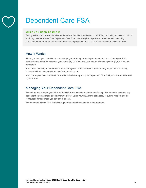

## Dependent Care FSA

#### **WHAT YOU NEED TO KNOW**

Setting aside pretax dollars in a Dependent Care Flexible Spending Account (FSA) can help you save on child or adult day care expenses. The Dependent Care FSA covers eligible dependent care expenses, including preschool, summer camp, before- and after-school programs, and child and adult day care while you work.

#### How It Works

When you elect your benefits as a new employee or during annual open enrollment, you choose your FSA contribution level for the calendar year (up to \$5,000 if you and your spouse file taxes jointly; \$2,500 if you file separately).

You'll need to elect your contribution level during open enrollment each year (as long as you have an FSA), because FSA elections don't roll over from year to year.

Your pretax paycheck contributions are deposited directly into your Dependent Care FSA, which is administered by HSA Bank.

#### Managing Your Dependent Care FSA

You set up and manage your FSA on the HSA Bank website or via the mobile app. You have the option to pay dependent care expenses directly from your FSA using your HSA Bank debit card, or submit receipts and be reimbursed for expenses you pay out of pocket.

You have until March 31 of the following year to submit receipts for reimbursement.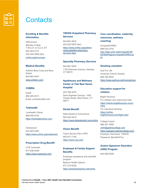

## **Contacts**

#### **Enrolling & Benefits Information**

HRConnect Monday–Friday, 7:30 a.m. to 5 p.m. ET 844-543-2147 203-200-3838 (fax) ynhhs.org/hrconnect

#### **Medical Benefits**

Anthem Blue Cross and Blue Shield 844-963-0447 www.anthem.com/

#### **COBRA**

bswift 866-365-2413 Email: ynhhsbenefits.com

#### **Telehealth**

LiveHealth Online 888-548-3432 https://livehealthonline.com/

**OnDemand** 833-483-5363 https://www.ynhhs.org/ondemand

#### **Prescription Drug Benefit**

CVS Caremark 877-636-0406 https://www.caremark.com/

#### **YNHHS Outpatient Pharmacy Services**

844-881-0043 203-230-0679 (fax) https://www.ynhhs.org/patientcare/outpatient-pharmacyservices.aspx

#### **Specialty Pharmacy Services**

844-881-0043 1100 Sherman Avenue, Hamden, CT 06510

#### **Apothecary and Wellness Center at Yale New Haven Hospital**

203-789-4076 Saint Raphael Campus, 1450 Chapel Street, New Haven, CT 06511

#### **Dental Benefit**

Delta Dental of Connecticut 800-452-9310 https://www.deltadentalct.com/ynhhs

#### **Vision Benefit**

Vision Service Plan (VSP) 800-877-7195 https://www.vsp.com/

#### **Employee & Family Support Benefits**

Employee assistance and work/life program Beacon Health Options 877-275-6226 https://achievesolutions.net/ynhhs

#### **Care coordination, maternity resources, wellness coaching**

*living*wellCARES 888-533-3742 http://dept.ynhh.org/livingwellCAR ES/SitePages/LivingwellCARES.as px

#### **Smoking cessation**

Quit For Life American Cancer Society 866-784-8454 https://www.quitnow.net/mve/quitnow

#### **Education support for children**

Bright Horizons For children who need extra help https://clients.brighthorizons.com/y nhhs For individual advising https://ynhhsbrighthorizons.torchlight.care/

College Coach 888-527-3550 ynhh@getintocollege.com https://passport.getintocollege.com/ Employer Username: YNHHS Password: Benefits4You

#### **Autism Spectrum Disorders (ASD) Program**

844-269-0538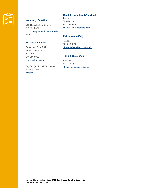

#### **Voluntary Benefits**

YNHHS Voluntary Benefits 866-874-2837 http://www.ynhhsvoluntarybenefits. com/

#### **Financial Benefits**

Dependent Care FSA Health Care FSA HSA Bank 844-650-8936 www.hsabank.com

PayFlex (for 2020 FSA claims) 844-729-3539 **Website** 

#### **Disability and family/medical**

**leave**

The Hartford 888-301-5615 https://www.thehartford.com/

#### **Retirement 403(b)**

Fidelity 800-343-0860 https://netbenefits.com/atwork

#### **Tuition assistance**

EdAssist 844-266-1531 https://ynhhs.edassist.com/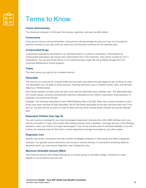

## Terms to Know

#### **Claims Administrator**

The insurance company or third party that reviews, approves, and pays benefits claims.

#### **Coinsurance**

Once you've met your annual deductible, coinsurance is the percentage of costs you'll pay out of pocket for services covered by your plan (until you meet your out-of-pocket maximum for the calendar year).

#### **Compounded Drugs**

Customized medications developed for an individual based on a doctor's prescription. Prescriptions for compounded medications will require prior authorization from CVS Caremark. They will be covered as Tier 3 medications. You can get 30-day fills at a CVS retail pharmacy; larger fills are available through the CVS Caremark Maintenance Choice program.

#### **Copay**

The fixed amount you pay for an in-network service.

#### **Deductible**

The amount you must pay for covered health services each year before the plan begins to pay its share of costs. The deductible may not apply to some services, including preventive care, in-network doctor visits, and services billed by a YNHHS facility.

Each family member covered under the plan must meet the deductible each calendar year. The deductible does not include copays, amounts exceeding the maximum allowable amount (MAA), prescription drug expenses, or expenses not covered by the plan.

Example: The individual deductible for the YNHHS Medical Plan is \$3,500. When two covered members of your family have each met their \$3,500 deductible, the \$7,000 family deductible for the year will have been met. From then on, the plan will pay its share of costs for them and any other covered family member during that calendar year.

#### **Dependent Children Over Age 26**

You can continue coverage for your fully handicapped dependent child past the child's 26th birthday only if you submit proof within 31 days of the child's 26th birthday that the child is disabled. Coverage will end in the following situations: when your child is no longer handicapped, if you do not provide proof of continued disability, if you fail to have any required exam for that child, or when dependent coverage terminates for any other reason.

#### **Diagnostic Care**

Specific care and/or procedures that help a doctor investigate symptoms or test results and make a diagnosis.

Example: You typically receive preventive care during an annual checkup. If a preventive screening yields an abnormal result, you may receive diagnostic care to determine why.

#### **Maximum Allowable Amount (MAA)**

The maximum amount that Anthem will pay for a covered service or the billed charge—whichever is lower. Applies to out-of-network services only.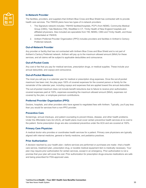

#### **In-Network Provider**

The facilities, providers, and suppliers that Anthem Blue Cross and Blue Shield has contracted with to provide health care services. The YNHHS plans have two types of in-network providers:

- 1. The Signature network includes: YNHHS facilities/hospitals, PCP's from NEMG, Community Medical Group (CMG), Yale Medicine (YM), WestMed in CT, Trinity Health of New England hospitals and affiliated physicians. Also included are specialists from YM, NEMG, CMG and Trinity Health, and those credentialed at YNHHS.
- 2. Anthem Preferred Provider Organization (PPO) includes providers and facilities in Anthem's Century Preferred network.

#### **Out-of-Network Provider**

Any provider or facility that has not contracted with Anthem Blue Cross and Blue Shield and is not part of Anthem's Century Preferred network. Anthem will pay up to the maximum allowed amount (MAA) for these services, and all claims will be subject to applicable deductibles and coinsurance.

#### **Out-of-Pocket Costs**

Any cost or fee that you pay for medical services, prescription drugs, or medical supplies. These include your annual deductible, and copays and coinsurance.

#### **Out-of-Pocket Maximum**

The most you will pay in a calendar year for medical or prescription drug expenses. Once the out-of-pocket maximum has been met, the play pays 100% of covered expenses for the covered person or family for the remainder of the calendar year, including copays and expenses that are applied toward the annual deductible.

The out-of-pocket maximum does not include benefit reductions due to failure to receive prior authorization, covered expenses paid at 100%, expenses exceeding the maximum allowed amount (MAA), expenses not covered by the plan, or employee premium contributions.

#### **Preferred Provider Organization (PPO)**

Doctors, hospitals, and other providers who have agreed to negotiated fees with Anthem. Typically, you'll pay less than you would for services from a non-PPO provider.

#### **Preventive Care**

Screenings, annual checkups, and patient counseling to prevent illness, disease, and other health problems. Under the Affordable Care Act (ACA), all health plans must cover certain preventive health services at no cost to the patient. Some prescription drugs are also considered preventive under the ACA and are covered at 100%.

#### **Primary Care Physician**

A medical doctor who provides or coordinates health services for a patient. Primary care physicians are typically aligned with internal medicine, general or family medicine, and pediatrics practices.

#### **Prior Authorization**

A decision reached by your health plan—before services are performed or purchases are made—that a health care service, treatment plan, prescription drug, or durable medical equipment item is medically necessary. Your plan may require prior authorization for certain services, except in an emergency. Prior authorization is not a promise that your plan will cover the cost. Prior authorization for prescription drugs ensures medications are safe and being prescribed for FDA-approved uses.